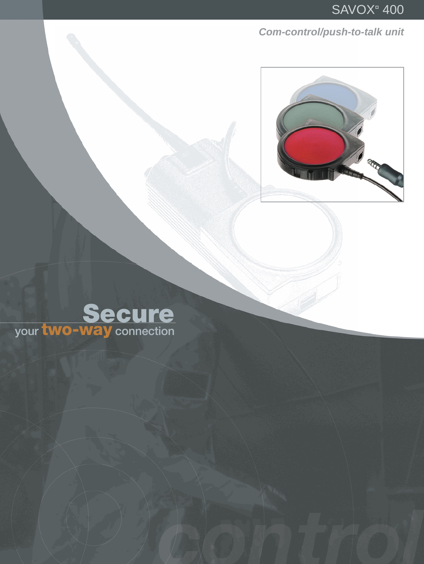Com-control/push-to-talk unit